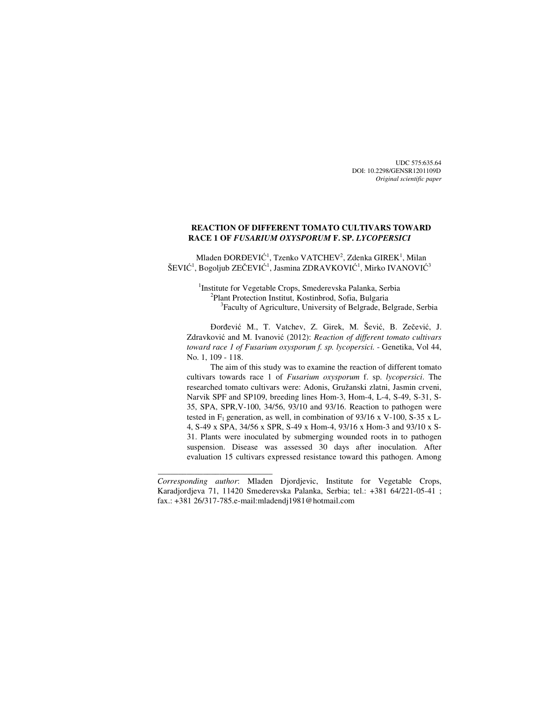UDC 575:635.64 DOI: 10.2298/GENSR1201109D *Original scientific paper* 

# **REACTION OF DIFFERENT TOMATO CULTIVARS TOWARD RACE 1 OF** *FUSARIUM OXYSPORUM* **F. SP.** *LYCOPERSICI*

Mladen  $\mathrm{DORDEVI}\r{C}^1$ , Tzenko  $\mathrm{VATCHEV}^2$ , Zdenka  $\mathrm{GIREK}^1$ , Milan ŠEVIĆ<sup>1</sup>, Bogoljub ZEČEVIĆ<sup>1</sup>, Jasmina ZDRAVKOVIĆ<sup>1</sup>, Mirko IVANOVIĆ<sup>3</sup>

> <sup>1</sup>Institute for Vegetable Crops, Smederevska Palanka, Serbia 2 Plant Protection Institut, Kostinbrod, Sofia, Bulgaria 3 Faculty of Agriculture, University of Belgrade, Belgrade, Serbia

Đorđević M., T. Vatchev, Z. Girek, M. Šević, B. Zečević, J. Zdravković and M. Ivanović (2012): *Reaction of different tomato cultivars toward race 1 of Fusarium oxysporum f. sp. lycopersici.* - Genetika, Vol 44, No. 1, 109 - 118.

The aim of this study was to examine the reaction of different tomato cultivars towards race 1 of *Fusarium oxysporum* f. sp. *lycopersici*. The researched tomato cultivars were: Adonis, Gružanski zlatni, Jasmin crveni, Narvik SPF and SP109, breeding lines Hom-3, Hom-4, L-4, S-49, S-31, S-35, SPA, SPR,V-100, 34/56, 93/10 and 93/16. Reaction to pathogen were tested in  $F_1$  generation, as well, in combination of 93/16 x V-100, S-35 x L-4, S-49 x SPA, 34/56 x SPR, S-49 x Hom-4, 93/16 x Hom-3 and 93/10 x S-31. Plants were inoculated by submerging wounded roots in to pathogen suspension. Disease was assessed 30 days after inoculation. After evaluation 15 cultivars expressed resistance toward this pathogen. Among

 $\overline{\phantom{a}}$  , and the set of the set of the set of the set of the set of the set of the set of the set of the set of the set of the set of the set of the set of the set of the set of the set of the set of the set of the s

*Corresponding author*: Mladen Djordjevic, Institute for Vegetable Crops, Karadjordjeva 71, 11420 Smederevska Palanka, Serbia; tel.: +381 64/221-05-41 ; fax.: +381 26/317-785.e-mail:mladendj1981@hotmail.com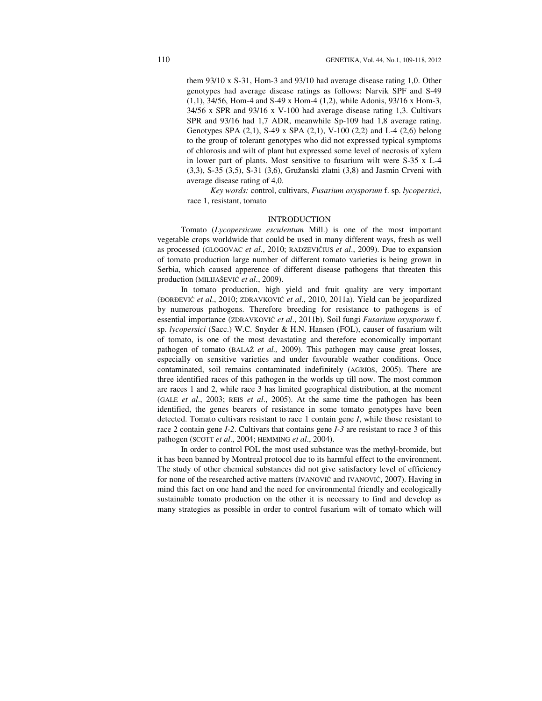them 93/10 x S-31, Hom-3 and 93/10 had average disease rating 1,0. Other genotypes had average disease ratings as follows: Narvik SPF and S-49 (1,1), 34/56, Hom-4 and S-49 x Hom-4 (1,2), while Adonis, 93/16 x Hom-3, 34/56 x SPR and 93/16 x V-100 had average disease rating 1,3. Cultivars SPR and 93/16 had 1,7 ADR, meanwhile Sp-109 had 1,8 average rating. Genotypes SPA (2,1), S-49 x SPA (2,1), V-100 (2,2) and L-4 (2,6) belong to the group of tolerant genotypes who did not expressed typical symptoms of chlorosis and wilt of plant but expressed some level of necrosis of xylem in lower part of plants. Most sensitive to fusarium wilt were S-35 x L-4 (3,3), S-35 (3,5), S-31 (3,6), Gružanski zlatni (3,8) and Jasmin Crveni with average disease rating of 4,0.

*Key words:* control, cultivars, *Fusarium oxysporum* f. sp. *lycopersici*, race 1, resistant, tomato

### INTRODUCTION

Tomato (*Lycopersicum esculentum* Mill.) is one of the most important vegetable crops worldwide that could be used in many different ways, fresh as well as processed (GLOGOVAC *et al*., 2010; RADZEVIČIUS *et al*., 2009). Due to expansion of tomato production large number of different tomato varieties is being grown in Serbia, which caused apperence of different disease pathogens that threaten this production (MILIJAŠEVIĆ *et al*., 2009).

In tomato production, high yield and fruit quality are very important (ĐORĐEVIĆ *et al*., 2010; ZDRAVKOVIĆ *et al*., 2010, 2011a). Yield can be jeopardized by numerous pathogens. Therefore breeding for resistance to pathogens is of essential importance (ZDRAVKOVIĆ *et al*., 2011b). Soil fungi *Fusarium oxysporum* f. sp. *lycopersici* (Sacc.) W.C. Snyder & H.N. Hansen (FOL), causer of fusarium wilt of tomato, is one of the most devastating and therefore economically important pathogen of tomato (BALAŽ *et al.,* 2009). This pathogen may cause great losses, especially on sensitive varieties and under favourable weather conditions. Once contaminated, soil remains contaminated indefinitely (AGRIOS, 2005). There are three identified races of this pathogen in the worlds up till now. The most common are races 1 and 2, while race 3 has limited geographical distribution, at the moment (GALE *et al*., 2003; REIS *et al*., 2005). At the same time the pathogen has been identified, the genes bearers of resistance in some tomato genotypes have been detected. Tomato cultivars resistant to race 1 contain gene *I*, while those resistant to race 2 contain gene *I-2*. Cultivars that contains gene *I-3* are resistant to race 3 of this pathogen (SCOTT *et al*., 2004; HEMMING *et al*., 2004).

In order to control FOL the most used substance was the methyl-bromide, but it has been banned by Montreal protocol due to its harmful effect to the environment. The study of other chemical substances did not give satisfactory level of efficiency for none of the researched active matters (IVANOVIĆ and IVANOVIĆ, 2007). Having in mind this fact on one hand and the need for environmental friendly and ecologically sustainable tomato production on the other it is necessary to find and develop as many strategies as possible in order to control fusarium wilt of tomato which will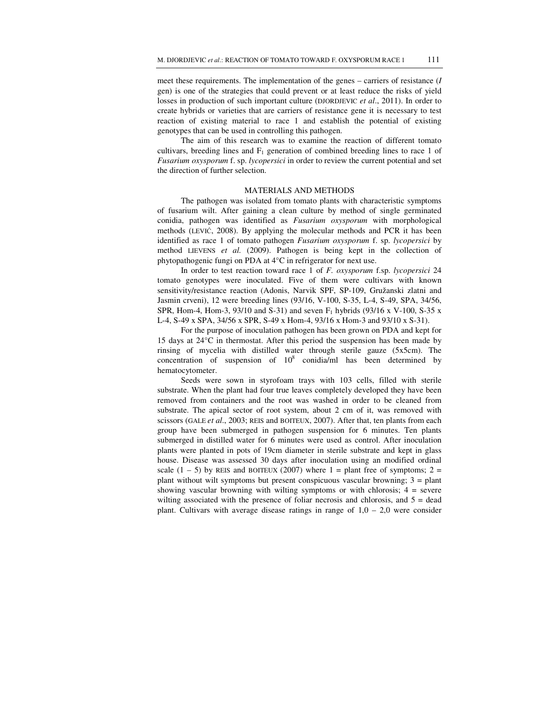meet these requirements. The implementation of the genes – carriers of resistance (*I* gen) is one of the strategies that could prevent or at least reduce the risks of yield losses in production of such important culture (DJORDJEVIC *et al*., 2011). In order to create hybrids or varieties that are carriers of resistance gene it is necessary to test reaction of existing material to race 1 and establish the potential of existing genotypes that can be used in controlling this pathogen.

The aim of this research was to examine the reaction of different tomato cultivars, breeding lines and  $F_1$  generation of combined breeding lines to race 1 of *Fusarium oxysporum* f. sp. *lycopersici* in order to review the current potential and set the direction of further selection.

#### MATERIALS AND METHODS

The pathogen was isolated from tomato plants with characteristic symptoms of fusarium wilt. After gaining a clean culture by method of single germinated conidia, pathogen was identified as *Fusarium oxysporum* with morphological methods (LEVIĆ, 2008). By applying the molecular methods and PCR it has been identified as race 1 of tomato pathogen *Fusarium oxysporum* f. sp. *lycopersici* by method LIEVENS *et al.* (2009). Pathogen is being kept in the collection of phytopathogenic fungi on PDA at 4°C in refrigerator for next use.

In order to test reaction toward race 1 of *F. oxysporum* f.sp. *lycopersici* 24 tomato genotypes were inoculated. Five of them were cultivars with known sensitivity/resistance reaction (Adonis, Narvik SPF, SP-109, Gružanski zlatni and Jasmin crveni), 12 were breeding lines (93/16, V-100, S-35, L-4, S-49, SPA, 34/56, SPR, Hom-4, Hom-3, 93/10 and S-31) and seven  $F_1$  hybrids (93/16 x V-100, S-35 x L-4, S-49 x SPA, 34/56 x SPR, S-49 x Hom-4, 93/16 x Hom-3 and 93/10 x S-31).

For the purpose of inoculation pathogen has been grown on PDA and kept for 15 days at 24°C in thermostat. After this period the suspension has been made by rinsing of mycelia with distilled water through sterile gauze (5x5cm). The concentration of suspension of  $10^8$  conidia/ml has been determined by hematocytometer.

Seeds were sown in styrofoam trays with 103 cells, filled with sterile substrate. When the plant had four true leaves completely developed they have been removed from containers and the root was washed in order to be cleaned from substrate. The apical sector of root system, about 2 cm of it, was removed with scissors (GALE *et al*., 2003; REIS and BOITEUX, 2007). After that, ten plants from each group have been submerged in pathogen suspension for 6 minutes. Ten plants submerged in distilled water for 6 minutes were used as control. After inoculation plants were planted in pots of 19cm diameter in sterile substrate and kept in glass house. Disease was assessed 30 days after inoculation using an modified ordinal scale  $(1 - 5)$  by REIS and BOITEUX (2007) where  $1 =$  plant free of symptoms;  $2 =$ plant without wilt symptoms but present conspicuous vascular browning;  $3 =$  plant showing vascular browning with wilting symptoms or with chlorosis;  $4 =$  severe wilting associated with the presence of foliar necrosis and chlorosis, and  $5 =$  dead plant. Cultivars with average disease ratings in range of  $1.0 - 2.0$  were consider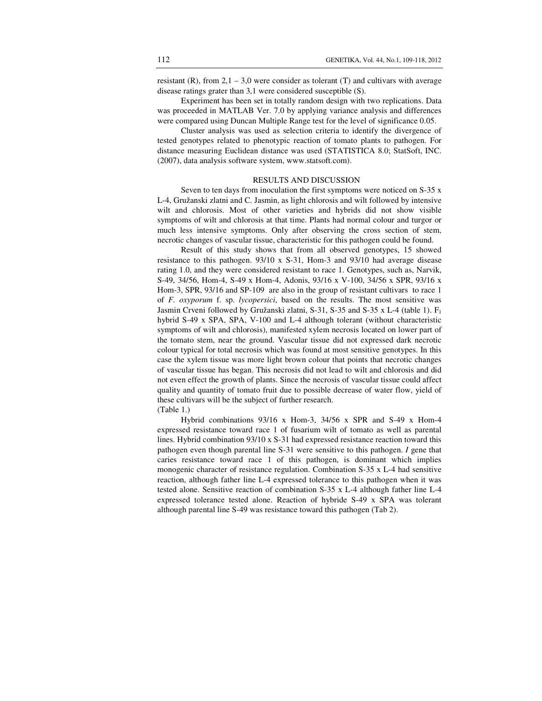resistant  $(R)$ , from  $2.1 - 3.0$  were consider as tolerant  $(T)$  and cultivars with average disease ratings grater than 3,1 were considered susceptible (S).

Experiment has been set in totally random design with two replications. Data was proceeded in MATLAB Ver. 7.0 by applying variance analysis and differences were compared using Duncan Multiple Range test for the level of significance 0.05.

Cluster analysis was used as selection criteria to identify the divergence of tested genotypes related to phenotypic reaction of tomato plants to pathogen. For distance measuring Euclidean distance was used (STATISTICA 8.0; StatSoft, INC. (2007), data analysis software system, www.statsoft.com).

# RESULTS AND DISCUSSION

Seven to ten days from inoculation the first symptoms were noticed on S-35 x L-4, Gružanski zlatni and C. Jasmin, as light chlorosis and wilt followed by intensive wilt and chlorosis. Most of other varieties and hybrids did not show visible symptoms of wilt and chlorosis at that time. Plants had normal colour and turgor or much less intensive symptoms. Only after observing the cross section of stem, necrotic changes of vascular tissue, characteristic for this pathogen could be found.

Result of this study shows that from all observed genotypes, 15 showed resistance to this pathogen. 93/10 x S-31, Hom-3 and 93/10 had average disease rating 1.0, and they were considered resistant to race 1. Genotypes, such as, Narvik, S-49, 34/56, Hom-4, S-49 x Hom-4, Adonis, 93/16 x V-100, 34/56 x SPR, 93/16 x Hom-3, SPR, 93/16 and SP-109 are also in the group of resistant cultivars to race 1 of *F. oxyporum* f. sp. *lycopersici*, based on the results. The most sensitive was Jasmin Crveni followed by Gružanski zlatni, S-31, S-35 and S-35 x L-4 (table 1). F<sub>1</sub> hybrid S-49 x SPA, SPA, V-100 and L-4 although tolerant (without characteristic symptoms of wilt and chlorosis), manifested xylem necrosis located on lower part of the tomato stem, near the ground. Vascular tissue did not expressed dark necrotic colour typical for total necrosis which was found at most sensitive genotypes. In this case the xylem tissue was more light brown colour that points that necrotic changes of vascular tissue has began. This necrosis did not lead to wilt and chlorosis and did not even effect the growth of plants. Since the necrosis of vascular tissue could affect quality and quantity of tomato fruit due to possible decrease of water flow, yield of these cultivars will be the subject of further research. (Table 1.)

Hybrid combinations 93/16 x Hom-3, 34/56 x SPR and S-49 x Hom-4 expressed resistance toward race 1 of fusarium wilt of tomato as well as parental lines. Hybrid combination 93/10 x S-31 had expressed resistance reaction toward this pathogen even though parental line S-31 were sensitive to this pathogen. *I* gene that caries resistance toward race 1 of this pathogen, is dominant which implies monogenic character of resistance regulation. Combination S-35 x L-4 had sensitive reaction, although father line L-4 expressed tolerance to this pathogen when it was tested alone. Sensitive reaction of combination S-35 x L-4 although father line L-4 expressed tolerance tested alone. Reaction of hybride S-49 x SPA was tolerant although parental line S-49 was resistance toward this pathogen (Tab 2).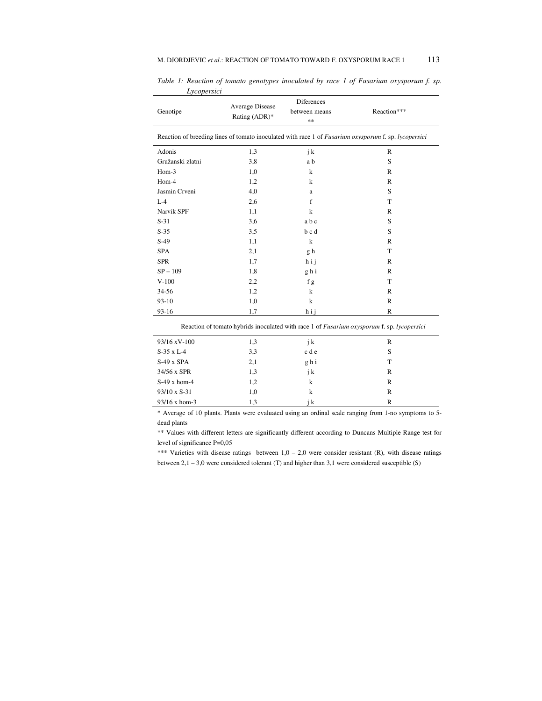| Genotipe                                                                                             | Average Disease<br>Rating (ADR)* | Diferences<br>between means<br>$**$ | Reaction***  |  |  |  |  |  |
|------------------------------------------------------------------------------------------------------|----------------------------------|-------------------------------------|--------------|--|--|--|--|--|
| Reaction of breeding lines of tomato inoculated with race 1 of Fusarium oxysporum f. sp. lycopersici |                                  |                                     |              |  |  |  |  |  |
| Adonis                                                                                               | 1,3                              | j k                                 | $\mathbb{R}$ |  |  |  |  |  |
| Gružanski zlatni                                                                                     | 3,8                              | a b                                 | S            |  |  |  |  |  |
| Hom-3                                                                                                | 1,0                              | $\bf k$                             | $\mathbb{R}$ |  |  |  |  |  |
| Hom-4                                                                                                | 1,2                              | k                                   | $\mathbb{R}$ |  |  |  |  |  |
| Jasmin Crveni                                                                                        | 4,0                              | $\mathbf{a}$                        | S            |  |  |  |  |  |
| $L-4$                                                                                                | 2,6                              | f                                   | T            |  |  |  |  |  |
| Narvik SPF                                                                                           | 1,1                              | $\bf k$                             | $\mathbb{R}$ |  |  |  |  |  |
| $S-31$                                                                                               | 3,6                              | abc                                 | S            |  |  |  |  |  |
| $S-35$                                                                                               | 3,5                              | bcd                                 | S            |  |  |  |  |  |
| $S-49$                                                                                               | 1,1                              | $\bf k$                             | $\mathbb{R}$ |  |  |  |  |  |
| <b>SPA</b>                                                                                           | 2,1                              | g h                                 | T            |  |  |  |  |  |
| <b>SPR</b>                                                                                           | 1,7                              | hij                                 | $\mathbb{R}$ |  |  |  |  |  |
| $SP - 109$                                                                                           | 1,8                              | ghi                                 | $\mathbb{R}$ |  |  |  |  |  |
| $V-100$                                                                                              | 2,2                              | f g                                 | T            |  |  |  |  |  |
| 34-56                                                                                                | 1,2                              | k                                   | R            |  |  |  |  |  |
| $93-10$                                                                                              | 1,0                              | k                                   | $\mathbb{R}$ |  |  |  |  |  |
| 93-16                                                                                                | 1,7                              | hij                                 | $\mathbb{R}$ |  |  |  |  |  |

*Table 1: Reaction of tomato genotypes inoculated by race 1 of Fusarium oxysporum f. sp. Lycopersici* 

| Reaction of tomato hybrids inoculated with race 1 of <i>Fusarium oxysporum</i> f. sp. <i>lycopersici</i> |  |  |
|----------------------------------------------------------------------------------------------------------|--|--|
|----------------------------------------------------------------------------------------------------------|--|--|

| $93/16 \text{ xV} - 100$ | 1,3 | j k   | R |
|--------------------------|-----|-------|---|
| $S-35 \times L-4$        | 3,3 | c d e | S |
| $S-49$ x $SPA$           | 2,1 | ghi   | T |
| 34/56 x SPR              | 1,3 | j k   | R |
| $S-49$ x hom-4           | 1,2 | k     | R |
| $93/10 \times S-31$      | 1,0 | k     | R |
| $93/16 \times$ hom-3     | 1,3 | i k   | R |

\* Average of 10 plants. Plants were evaluated using an ordinal scale ranging from 1-no symptoms to 5 dead plants

\*\* Values with different letters are significantly different according to Duncans Multiple Range test for level of significance P=0,05

\*\*\* Varieties with disease ratings between  $1,0 - 2,0$  were consider resistant (R), with disease ratings between 2,1 – 3,0 were considered tolerant (T) and higher than 3,1 were considered susceptible (S)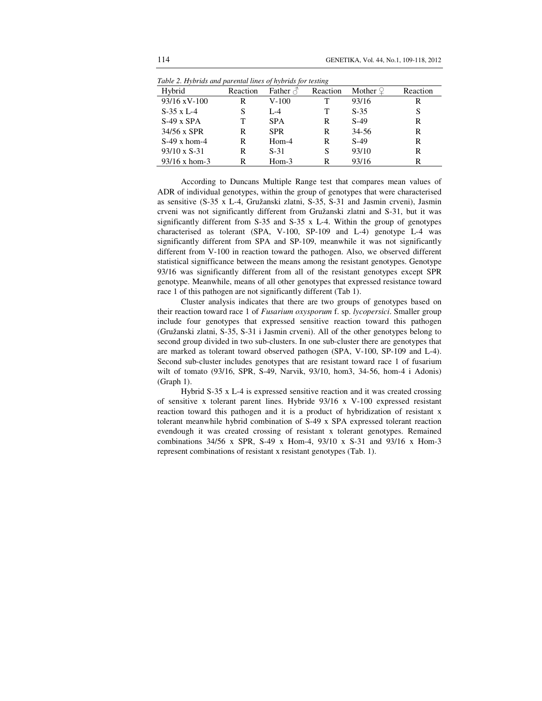| Hybrid               | Reaction | Father $\triangle$ | Reaction | Mother $9$ | Reaction |
|----------------------|----------|--------------------|----------|------------|----------|
| $93/16$ xV-100       | R        | $V-100$            | т        | 93/16      | R        |
| $S-35 \times L-4$    | S        | $L - 4$            | т        | $S-35$     | S        |
| $S-49$ x $SPA$       | T        | <b>SPA</b>         | R        | $S-49$     | R        |
| 34/56 x SPR          | R        | <b>SPR</b>         | R        | $34 - 56$  | R        |
| $S-49$ x hom-4       | R        | $Hom-4$            | R        | $S-49$     | R        |
| $93/10 \times S-31$  | R        | $S-31$             | S        | 93/10      | R        |
| $93/16 \times$ hom-3 | R        | $Hom-3$            | R        | 93/16      | R        |

*Table 2. Hybrids and parental lines of hybrids for testing* 

According to Duncans Multiple Range test that compares mean values of ADR of individual genotypes, within the group of genotypes that were characterised as sensitive (S-35 x L-4, Gružanski zlatni, S-35, S-31 and Jasmin crveni), Jasmin crveni was not significantly different from Gružanski zlatni and S-31, but it was significantly different from  $S-35$  and  $S-35 \times L-4$ . Within the group of genotypes characterised as tolerant (SPA, V-100, SP-109 and L-4) genotype L-4 was significantly different from SPA and SP-109, meanwhile it was not significantly different from V-100 in reaction toward the pathogen. Also, we observed different statistical signifficance between the means among the resistant genotypes. Genotype 93/16 was significantly different from all of the resistant genotypes except SPR genotype. Meanwhile, means of all other genotypes that expressed resistance toward race 1 of this pathogen are not significantly different (Tab 1).

Cluster analysis indicates that there are two groups of genotypes based on their reaction toward race 1 of *Fusarium oxysporum* f. sp. *lycopersici*. Smaller group include four genotypes that expressed sensitive reaction toward this pathogen (Gružanski zlatni, S-35, S-31 i Jasmin crveni). All of the other genotypes belong to second group divided in two sub-clusters. In one sub-cluster there are genotypes that are marked as tolerant toward observed pathogen (SPA, V-100, SP-109 and L-4). Second sub-cluster includes genotypes that are resistant toward race 1 of fusarium wilt of tomato (93/16, SPR, S-49, Narvik, 93/10, hom3, 34-56, hom-4 i Adonis) (Graph 1).

Hybrid S-35 x L-4 is expressed sensitive reaction and it was created crossing of sensitive x tolerant parent lines. Hybride 93/16 x V-100 expressed resistant reaction toward this pathogen and it is a product of hybridization of resistant x tolerant meanwhile hybrid combination of S-49 x SPA expressed tolerant reaction evendough it was created crossing of resistant x tolerant genotypes. Remained combinations  $34/56 \times$  SPR, S-49 x Hom-4, 93/10 x S-31 and 93/16 x Hom-3 represent combinations of resistant x resistant genotypes (Tab. 1).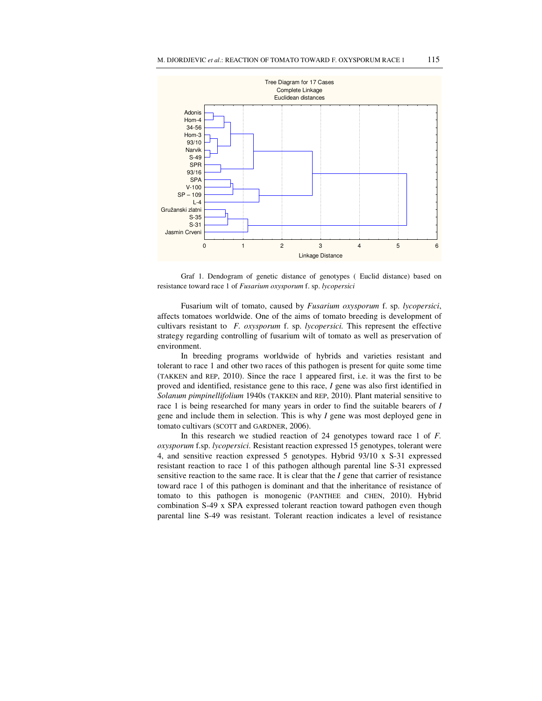

Graf 1. Dendogram of genetic distance of genotypes ( Euclid distance) based on resistance toward race 1 of *Fusarium oxysporum* f. sp. *lycopersici* 

Fusarium wilt of tomato, caused by *Fusarium oxysporum* f. sp. *lycopersici*, affects tomatoes worldwide. One of the aims of tomato breeding is development of cultivars resistant to *F. oxysporum* f. sp. *lycopersici.* This represent the effective strategy regarding controlling of fusarium wilt of tomato as well as preservation of environment.

In breeding programs worldwide of hybrids and varieties resistant and tolerant to race 1 and other two races of this pathogen is present for quite some time (TAKKEN and REP, 2010). Since the race 1 appeared first, i.e. it was the first to be proved and identified, resistance gene to this race, *I* gene was also first identified in *Solanum pimpinellifolium* 1940s (TAKKEN and REP, 2010). Plant material sensitive to race 1 is being researched for many years in order to find the suitable bearers of *I* gene and include them in selection. This is why *I* gene was most deployed gene in tomato cultivars (SCOTT and GARDNER, 2006).

In this research we studied reaction of 24 genotypes toward race 1 of *F. oxysporum* f.sp. *lycopersici*. Resistant reaction expressed 15 genotypes, tolerant were 4, and sensitive reaction expressed 5 genotypes. Hybrid 93/10 x S-31 expressed resistant reaction to race 1 of this pathogen although parental line S-31 expressed sensitive reaction to the same race. It is clear that the *I* gene that carrier of resistance toward race 1 of this pathogen is dominant and that the inheritance of resistance of tomato to this pathogen is monogenic (PANTHEE and CHEN, 2010). Hybrid combination S-49 x SPA expressed tolerant reaction toward pathogen even though parental line S-49 was resistant. Tolerant reaction indicates a level of resistance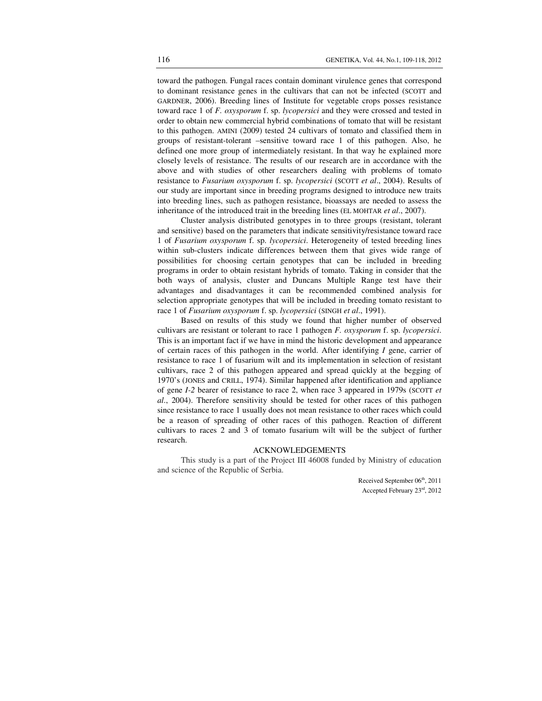toward the pathogen. Fungal races contain dominant virulence genes that correspond to dominant resistance genes in the cultivars that can not be infected (SCOTT and GARDNER, 2006). Breeding lines of Institute for vegetable crops posses resistance toward race 1 of *F. oxysporum* f. sp. *lycopersici* and they were crossed and tested in order to obtain new commercial hybrid combinations of tomato that will be resistant to this pathogen. AMINI (2009) tested 24 cultivars of tomato and classified them in groups of resistant-tolerant –sensitive toward race 1 of this pathogen. Also, he defined one more group of intermediately resistant. In that way he explained more closely levels of resistance. The results of our research are in accordance with the above and with studies of other researchers dealing with problems of tomato resistance to *Fusarium oxysporum* f. sp. *lycopersici* (SCOTT *et al*., 2004). Results of our study are important since in breeding programs designed to introduce new traits into breeding lines, such as pathogen resistance, bioassays are needed to assess the inheritance of the introduced trait in the breeding lines (EL MOHTAR *et al*., 2007).

Cluster analysis distributed genotypes in to three groups (resistant, tolerant and sensitive) based on the parameters that indicate sensitivity/resistance toward race 1 of *Fusarium oxysporum* f. sp. *lycopersici*. Heterogeneity of tested breeding lines within sub-clusters indicate differences between them that gives wide range of possibilities for choosing certain genotypes that can be included in breeding programs in order to obtain resistant hybrids of tomato. Taking in consider that the both ways of analysis, cluster and Duncans Multiple Range test have their advantages and disadvantages it can be recommended combined analysis for selection appropriate genotypes that will be included in breeding tomato resistant to race 1 of *Fusarium oxysporum* f. sp. *lycopersici* (SINGH *et al*., 1991).

Based on results of this study we found that higher number of observed cultivars are resistant or tolerant to race 1 pathogen *F. oxysporum* f. sp. *lycopersici*. This is an important fact if we have in mind the historic development and appearance of certain races of this pathogen in the world. After identifying *I* gene, carrier of resistance to race 1 of fusarium wilt and its implementation in selection of resistant cultivars, race 2 of this pathogen appeared and spread quickly at the begging of 1970's (JONES and CRILL, 1974). Similar happened after identification and appliance of gene *I-2* bearer of resistance to race 2, when race 3 appeared in 1979s (SCOTT *et al*., 2004). Therefore sensitivity should be tested for other races of this pathogen since resistance to race 1 usually does not mean resistance to other races which could be a reason of spreading of other races of this pathogen. Reaction of different cultivars to races 2 and 3 of tomato fusarium wilt will be the subject of further research.

### ACKNOWLEDGEMENTS

This study is a part of the Project III 46008 funded by Ministry of education and science of the Republic of Serbia.

> Received September 06<sup>th</sup>, 2011 Accepted February 23rd, 2012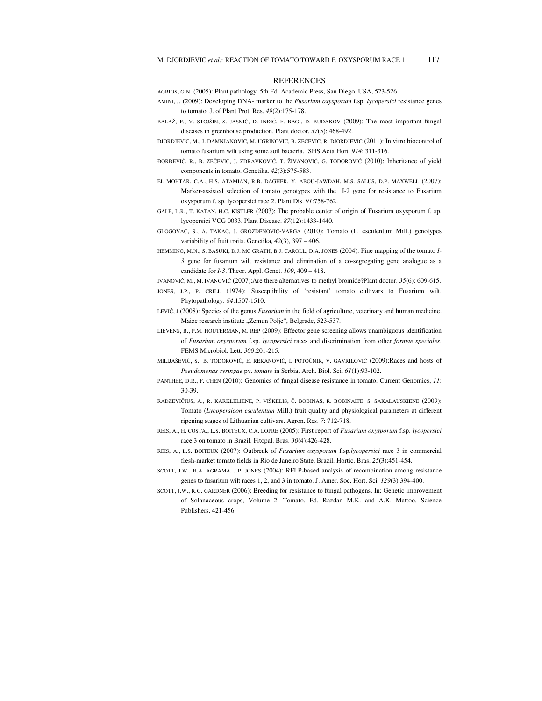#### **REFERENCES**

AGRIOS, G.N. (2005): Plant pathology. 5th Ed. Academic Press, San Diego, USA, 523-526.

- AMINI, J. (2009): Developing DNA- marker to the *Fusarium oxysporum* f.sp. *lycopersici* resistance genes to tomato. J. of Plant Prot. Res. *49*(2):175-178.
- BALAŽ, F., V. STOJŠIN, S. JASNIĆ, D. INĐIĆ, F. BAGI, D. BUDAKOV (2009): The most important fungal diseases in greenhouse production. Plant doctor. *37*(5): 468-492.
- DJORDJEVIC, M., J. DAMNJANOVIC, M. UGRINOVIC, B. ZECEVIC, R. DJORDJEVIC (2011): In vitro biocontrol of tomato fusarium wilt using some soil bacteria. ISHS Acta Hort. *914*: 311-316.
- ĐORĐEVIĆ, R., B. ZEČEVIĆ, J. ZDRAVKOVIĆ, T. ŽIVANOVIĆ, G. TODOROVIĆ (2010): Inheritance of yield components in tomato. Genetika. *42*(3):575-583.
- EL MOHTAR, C.A., H.S. ATAMIAN, R.B. DAGHER, Y. ABOU-JAWDAH, M.S. SALUS, D.P. MAXWELL (2007): Marker-assisted selection of tomato genotypes with the I-2 gene for resistance to Fusarium oxysporum f. sp. lycopersici race 2. Plant Dis. *91*:758-762.
- GALE, L.R., T. KATAN, H.C. KISTLER (2003): The probable center of origin of Fusarium oxysporum f. sp. lycopersici VCG 0033. Plant Disease. *87*(12):1433-1440.
- GLOGOVAC, S., A. TAKAČ, J. GROZDENOVIĆ-VARGA (2010): Tomato (L. esculentum Mill.) genotypes variability of fruit traits. Genetika, *42*(3), 397 – 406.
- HEMMING, M.N., S. BASUKI, D.J. MC GRATH, B.J. CAROLL, D.A. JONES (2004): Fine mapping of the tomato *I-3* gene for fusarium wilt resistance and elimination of a co-segregating gene analogue as a candidate for *I-3*. Theor. Appl. Genet. *109*, 409 – 418.
- IVANOVIĆ, M., M. IVANOVIĆ (2007):Are there alternatives to methyl bromide?Plant doctor. *35*(6): 609-615.
- JONES, J.P., P. CRILL (1974): Susceptibility of 'resistant' tomato cultivars to Fusarium wilt. Phytopathology. *64*:1507-1510.
- LEVIĆ, J.(2008): Species of the genus *Fusarium* in the field of agriculture, veterinary and human medicine. Maize research institute "Zemun Polje", Belgrade, 523-537.
- LIEVENS, B., P.M. HOUTERMAN, M. REP (2009): Effector gene screening allows unambiguous identification of *Fusarium oxysporum* f.sp. *lycopersici* races and discrimination from other *formae speciales*. FEMS Microbiol. Lett. *300*:201-215.
- MILIJAŠEVIĆ, S., B. TODOROVIĆ, E. REKANOVIĆ, I. POTOČNIK, V. GAVRILOVIĆ (2009):Races and hosts of *Pseudomonas syringae* pv. *tomato* in Serbia. Arch. Biol. Sci. *61*(1):93-102.
- PANTHEE, D.R., F. CHEN (2010): Genomics of fungal disease resistance in tomato. Current Genomics, *11*: 30-39.
- RADZEVIČIUS, A., R. KARKLELIENE, P. VIŠKELIS, Č. BOBINAS, R. BOBINAITE, S. SAKALAUSKIENE (2009): Tomato (*Lycopersicon esculentum* Mill.) fruit quality and physiological parameters at different ripening stages of Lithuanian cultivars. Agron. Res. *7*: 712-718.
- REIS, A., H. COSTA., L.S. BOITEUX, C.A. LOPRE (2005): First report of *Fusarium oxysporum* f.sp. *lycopersici* race 3 on tomato in Brazil. Fitopal. Bras. *30*(4):426-428.
- REIS, A., L.S. BOITEUX (2007): Outbreak of *Fusarium oxysporum* f.sp.*lycopersici* race 3 in commercial fresh-market tomato fields in Rio de Janeiro State, Brazil. Hortic. Bras. *25*(3):451-454.
- SCOTT, J.W., H.A. AGRAMA, J.P. JONES (2004): RFLP-based analysis of recombination among resistance genes to fusarium wilt races 1, 2, and 3 in tomato. J. Amer. Soc. Hort. Sci. *129*(3):394-400.
- SCOTT, J.W., R.G. GARDNER (2006): Breeding for resistance to fungal pathogens. In: Genetic improvement of Solanaceous crops, Volume 2: Tomato. Ed. Razdan M.K. and A.K. Mattoo. Science Publishers. 421-456.